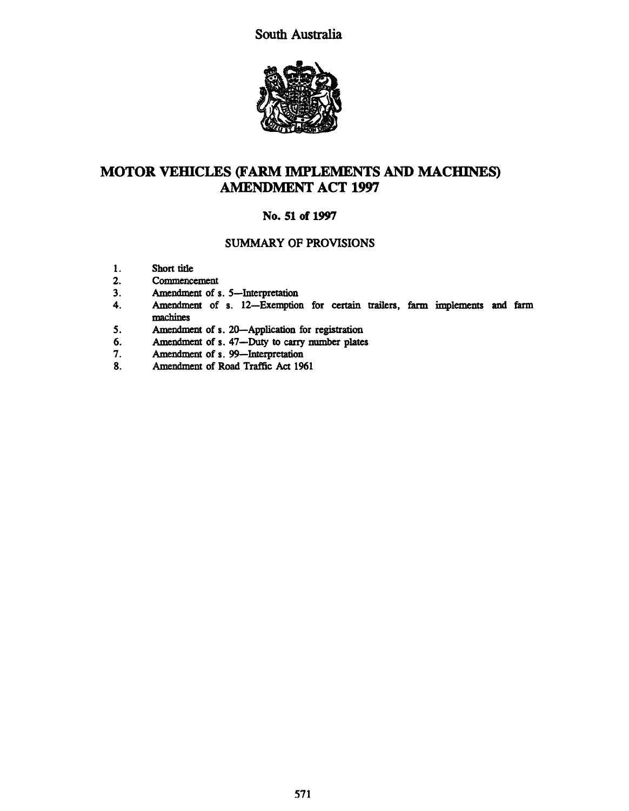South Australia



# MOTOR VEHICLES (FARM IMPLEMENTS AND MACHINES) AMENDMENT ACT 1997

# No. 51 of 1997

# SUMMARY OF PROVISIONS

- 1. Short title<br>2. Commence
- 2. Commencement<br>3. Amendment of s
- 3. Amendment of s. 5—Interpretation<br>4. Amendment of s. 12—Exemption
- Amendment of s. 12-Exemption for certain trailers, farm implements and farm machines
- 5. Amendment of s. 20—Application for registration<br>6. Amendment of s. 47—Duty to carry number plates
- 6. Amendment of s. 47--Duty to carry number plates<br>7. Amendment of s. 99--Interpretation
- 7. Amendment of s. 99—Interpretation<br>8. Amendment of Road Traffic Act 196
- 8. Amendment of Road Traffic Act 1961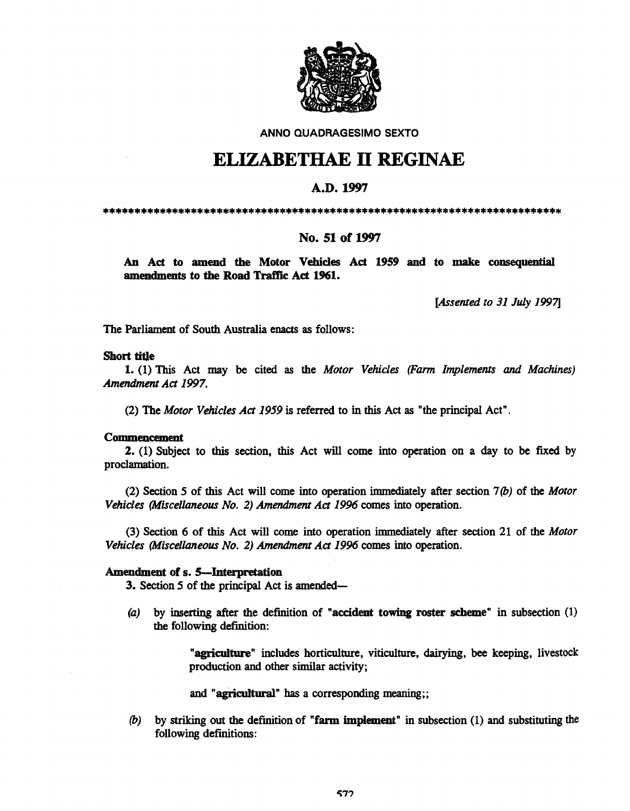

ANNO QUADRAGESIMO SEXTO

# ELIZABETHAE II REGINAE

# A.D.I997

\*\*\*\*\*\*\*\*\*\*\*\*\*\*\*\*\*\*\*\*\*\*\*\*\*\*\*\*\*\*\*\*\*\*\*\*\*\*\*\*\*\*\*\*\*\*\*\*\*\*\*\*\*\*\*\*\*\*\*\*\*\*\*\*\*\*\*\*\*\*\*\*\*

# No. 51 of 1997

An Act to amend the Motor Vehicles Act 1959 and to make consequential amendments to the Road Traffic Act 1961.

*[Assented to* 31 *July 19971* 

The Parliament of South Australia enacts as follows:

### Short title

1. (1) This Act may be cited as the *Motor Vehicles (Farm Implements and Machines) Amendment Act 1997.* 

(2) The *Motor Vehicles Act* 1959 is referred to in this Act as "the principal Act".

#### Commencement

2. (1) Subject to this section, this Act will come into operation on a day to be fixed by proclamation.

(2) Section 5 of this Act will come into operation immediately after section *7(b)* of the *Motor Vehicles (Miscellaneous No.* 2) *Amendment Act* 1996 comes into operation.

(3) Section 6 of this Act will come into operation immediately after section 21 of the *Motor Vehicles (Miscellaneous No.* 2) *Amendment Act* 1996 comes into operation.

## Amendment of s. 5—Interpretation

3. Section 5 of the principal Act is amended-

(a) by inserting after the definition of "accident towing roster scheme" in subsection (1) the following definition:

> "agriculture" includes horticulture, viticulture, dairying, bee keeping, livestock production and other similar activity;

and "agricultural" has a corresponding meaning;;

*(b)* by striking out the definition of "farm implement" in subsection (1) and substituting the following definitions: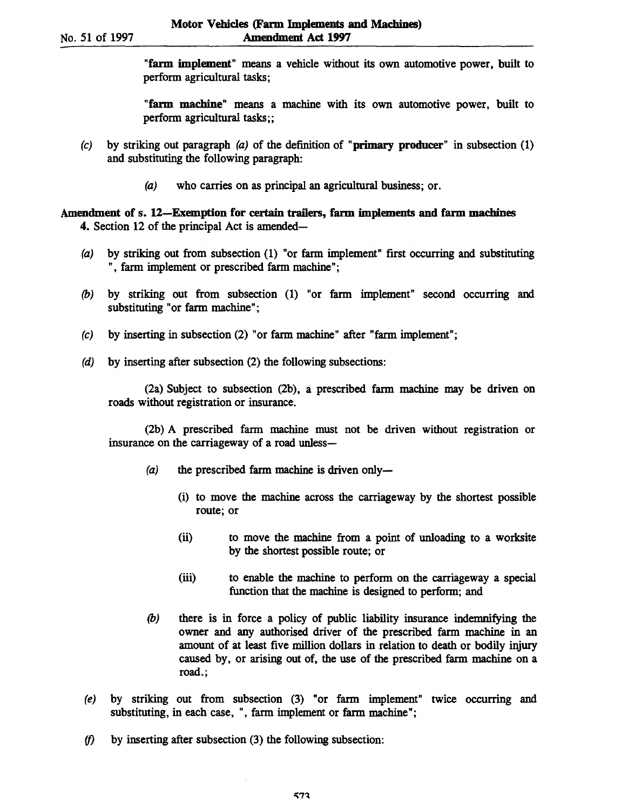"farm implement" means a vehicle without its own automotive power, built to perform agricultural tasks;

"farm machine" means a machine with its own automotive power, built to perform agricultural tasks;;

- (c) by striking out paragraph  $(a)$  of the definition of "primary producer" in subsection (1) and substituting the following paragraph:
	- (a) who carries on as principal an agricultural business; or.

# Amendment of s. 12-Exemption for certain trailers, farm implements and farm machines 4. Section 12 of the principal Act is amended—

- (a) by striking out from subsection (1) "or farm implement" first occurring and substituting ", farm implement or prescribed farm machine";
- (b) by striking out from subsection (1) "or farm implement" second occurring and substituting "or farm machine";
- (c) by inserting in subsection (2) "or farm machine" after "farm implement";
- (d) by inserting after subsection (2) the following subsections:

(2a) Subject to subsection (2b) , a prescribed farm machine may be driven on roads without registration or insurance.

(2b) A prescribed farm machine must not be driven without registration or insurance on the carriageway of a road unless-

- $(a)$  the prescribed farm machine is driven only-
	- (i) to move the machine across the carriageway by the shortest possible route; or
	- (ii) to move the machine from a point of unloading to a worksite by the shortest possible route; or
	- (iii) to enable the machine to perform on the carriageway a special function that the machine is designed to perform; and
- (b) there is in force a policy of public liability insurance indemnifying the owner and any authorised driver of the prescribed farm machine in an amount of at least ftve million dollars in relation to death or bodily injury caused by, or arising out of, the use of the prescribed farm machine on a road.;
- (e) by striking out from subsection (3) "or farm implement" twice occurring and substituting, in each case, ", farm implement or farm machine";
- *(f)* by inserting after subsection (3) the following subsection: